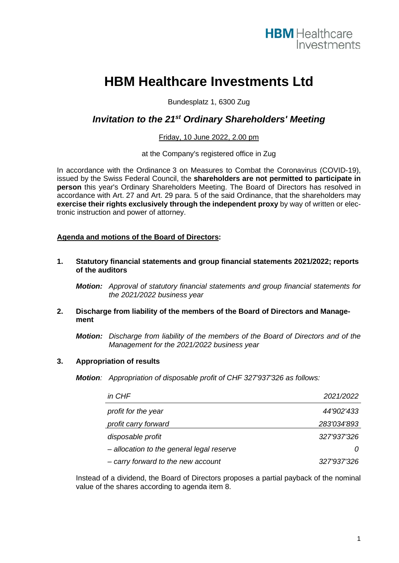

# **HBM Healthcare Investments Ltd**

Bundesplatz 1, 6300 Zug

# *Invitation to the 21st Ordinary Shareholders' Meeting*

# Friday, 10 June 2022, 2.00 pm

at the Company's registered office in Zug

In accordance with the Ordinance 3 on Measures to Combat the Coronavirus (COVID-19), issued by the Swiss Federal Council, the **shareholders are not permitted to participate in person** this year's Ordinary Shareholders Meeting. The Board of Directors has resolved in accordance with Art. 27 and Art. 29 para. 5 of the said Ordinance, that the shareholders may **exercise their rights exclusively through the independent proxy** by way of written or electronic instruction and power of attorney.

# **Agenda and motions of the Board of Directors:**

**1. Statutory financial statements and group financial statements 2021/2022; reports of the auditors**

*Motion: Approval of statutory financial statements and group financial statements for the 2021/2022 business year*

# **2. Discharge from liability of the members of the Board of Directors and Management**

*Motion: Discharge from liability of the members of the Board of Directors and of the Management for the 2021/2022 business year*

### **3. Appropriation of results**

*Motion: Appropriation of disposable profit of CHF 327'937'326 as follows:*

| in CHF                                    | 2021/2022   |
|-------------------------------------------|-------------|
| profit for the year                       | 44'902'433  |
| profit carry forward                      | 283'034'893 |
| disposable profit                         | 327'937'326 |
| - allocation to the general legal reserve | O           |
| - carry forward to the new account        | 327'937'326 |

Instead of a dividend, the Board of Directors proposes a partial payback of the nominal value of the shares according to agenda item 8.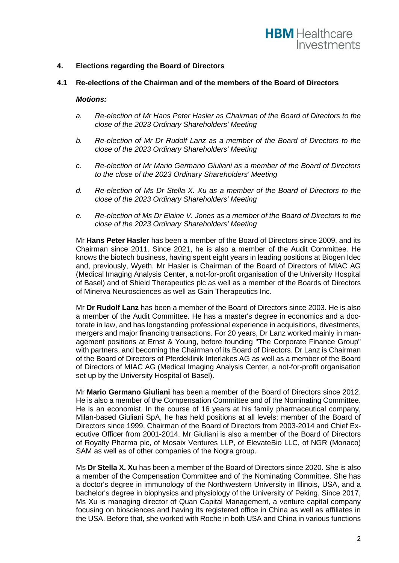# **4. Elections regarding the Board of Directors**

#### **4.1 Re-elections of the Chairman and of the members of the Board of Directors**

#### *Motions:*

- *a. Re-election of Mr Hans Peter Hasler as Chairman of the Board of Directors to the close of the 2023 Ordinary Shareholders' Meeting*
- *b. Re-election of Mr Dr Rudolf Lanz as a member of the Board of Directors to the close of the 2023 Ordinary Shareholders' Meeting*
- *c. Re-election of Mr Mario Germano Giuliani as a member of the Board of Directors to the close of the 2023 Ordinary Shareholders' Meeting*
- *d. Re-election of Ms Dr Stella X. Xu as a member of the Board of Directors to the close of the 2023 Ordinary Shareholders' Meeting*
- *e. Re-election of Ms Dr Elaine V. Jones as a member of the Board of Directors to the close of the 2023 Ordinary Shareholders' Meeting*

Mr **Hans Peter Hasler** has been a member of the Board of Directors since 2009, and its Chairman since 2011. Since 2021, he is also a member of the Audit Committee. He knows the biotech business, having spent eight years in leading positions at Biogen Idec and, previously, Wyeth. Mr Hasler is Chairman of the Board of Directors of MIAC AG (Medical Imaging Analysis Center, a not-for-profit organisation of the University Hospital of Basel) and of Shield Therapeutics plc as well as a member of the Boards of Directors of Minerva Neurosciences as well as Gain Therapeutics Inc.

Mr **Dr Rudolf Lanz** has been a member of the Board of Directors since 2003. He is also a member of the Audit Committee. He has a master's degree in economics and a doctorate in law, and has longstanding professional experience in acquisitions, divestments, mergers and major financing transactions. For 20 years, Dr Lanz worked mainly in management positions at Ernst & Young, before founding "The Corporate Finance Group" with partners, and becoming the Chairman of its Board of Directors. Dr Lanz is Chairman of the Board of Directors of Pferdeklinik Interlakes AG as well as a member of the Board of Directors of MIAC AG (Medical Imaging Analysis Center, a not-for-profit organisation set up by the University Hospital of Basel).

Mr **Mario Germano Giuliani** has been a member of the Board of Directors since 2012. He is also a member of the Compensation Committee and of the Nominating Committee. He is an economist. In the course of 16 years at his family pharmaceutical company, Milan-based Giuliani SpA, he has held positions at all levels: member of the Board of Directors since 1999, Chairman of the Board of Directors from 2003-2014 and Chief Executive Officer from 2001-2014. Mr Giuliani is also a member of the Board of Directors of Royalty Pharma plc, of Mosaix Ventures LLP, of ElevateBio LLC, of NGR (Monaco) SAM as well as of other companies of the Nogra group.

Ms **Dr Stella X. Xu** has been a member of the Board of Directors since 2020. She is also a member of the Compensation Committee and of the Nominating Committee. She has a doctor's degree in immunology of the Northwestern University in Illinois, USA, and a bachelor's degree in biophysics and physiology of the University of Peking. Since 2017, Ms Xu is managing director of Quan Capital Management, a venture capital company focusing on biosciences and having its registered office in China as well as affiliates in the USA. Before that, she worked with Roche in both USA and China in various functions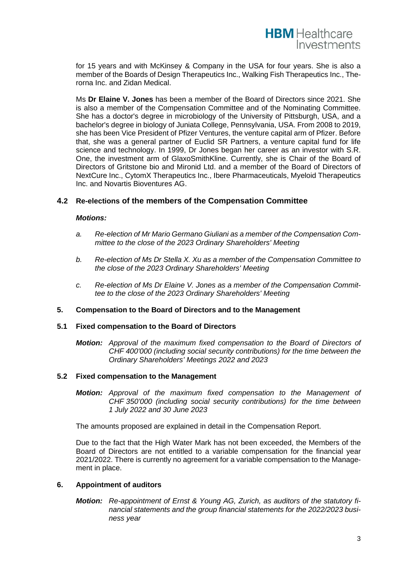

for 15 years and with McKinsey & Company in the USA for four years. She is also a member of the Boards of Design Therapeutics Inc., Walking Fish Therapeutics Inc., Therorna Inc. and Zidan Medical.

Ms **Dr Elaine V. Jones** has been a member of the Board of Directors since 2021. She is also a member of the Compensation Committee and of the Nominating Committee. She has a doctor's degree in microbiology of the University of Pittsburgh, USA, and a bachelor's degree in biology of Juniata College, Pennsylvania, USA. From 2008 to 2019, she has been Vice President of Pfizer Ventures, the venture capital arm of Pfizer. Before that, she was a general partner of Euclid SR Partners, a venture capital fund for life science and technology. In 1999, Dr Jones began her career as an investor with S.R. One, the investment arm of GlaxoSmithKline. Currently, she is Chair of the Board of Directors of Gritstone bio and Mironid Ltd. and a member of the Board of Directors of NextCure Inc., CytomX Therapeutics Inc., Ibere Pharmaceuticals, Myeloid Therapeutics Inc. and Novartis Bioventures AG.

# **4.2 Re-elections of the members of the Compensation Committee**

### *Motions:*

- *a. Re-election of Mr Mario Germano Giuliani as a member of the Compensation Committee to the close of the 2023 Ordinary Shareholders' Meeting*
- *b. Re-election of Ms Dr Stella X. Xu as a member of the Compensation Committee to the close of the 2023 Ordinary Shareholders' Meeting*
- *c. Re-election of Ms Dr Elaine V. Jones as a member of the Compensation Committee to the close of the 2023 Ordinary Shareholders' Meeting*

### **5. Compensation to the Board of Directors and to the Management**

# **5.1 Fixed compensation to the Board of Directors**

*Motion: Approval of the maximum fixed compensation to the Board of Directors of CHF 400'000 (including social security contributions) for the time between the Ordinary Shareholders' Meetings 2022 and 2023*

#### **5.2 Fixed compensation to the Management**

*Motion: Approval of the maximum fixed compensation to the Management of CHF 350'000 (including social security contributions) for the time between 1 July 2022 and 30 June 2023*

The amounts proposed are explained in detail in the Compensation Report.

Due to the fact that the High Water Mark has not been exceeded, the Members of the Board of Directors are not entitled to a variable compensation for the financial year 2021/2022. There is currently no agreement for a variable compensation to the Management in place.

### **6. Appointment of auditors**

*Motion: Re-appointment of Ernst & Young AG, Zurich, as auditors of the statutory financial statements and the group financial statements for the 2022/2023 business year*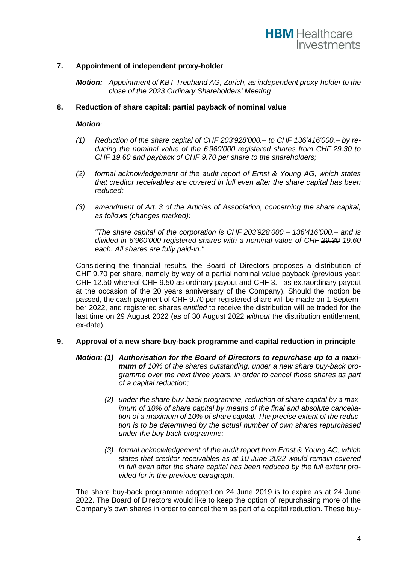# **7. Appointment of independent proxy-holder**

*Motion: Appointment of KBT Treuhand AG, Zurich, as independent proxy-holder to the close of the 2023 Ordinary Shareholders' Meeting*

# **8. Reduction of share capital: partial payback of nominal value**

### *Motion:*

- *(1) Reduction of the share capital of CHF 203'928'000.– to CHF 136'416'000.– by reducing the nominal value of the 6'960'000 registered shares from CHF 29.30 to CHF 19.60 and payback of CHF 9.70 per share to the shareholders;*
- *(2) formal acknowledgement of the audit report of Ernst & Young AG, which states that creditor receivables are covered in full even after the share capital has been reduced;*
- *(3) amendment of Art. 3 of the Articles of Association, concerning the share capital, as follows (changes marked):*

*"The share capital of the corporation is CHF 203'928'000.– 136'416'000.– and is divided in 6'960'000 registered shares with a nominal value of CHF 29.30 19.60 each. All shares are fully paid-in."*

Considering the financial results, the Board of Directors proposes a distribution of CHF 9.70 per share, namely by way of a partial nominal value payback (previous year: CHF 12.50 whereof CHF 9.50 as ordinary payout and CHF 3.– as extraordinary payout at the occasion of the 20 years anniversary of the Company). Should the motion be passed, the cash payment of CHF 9.70 per registered share will be made on 1 September 2022, and registered shares *entitled* to receive the distribution will be traded for the last time on 29 August 2022 (as of 30 August 2022 *without* the distribution entitlement, ex-date).

### **9. Approval of a new share buy-back programme and capital reduction in principle**

- *Motion: (1) Authorisation for the Board of Directors to repurchase up to a maximum of 10% of the shares outstanding, under a new share buy-back programme over the next three years, in order to cancel those shares as part of a capital reduction;* 
	- *(2) under the share buy-back programme, reduction of share capital by a maximum of 10% of share capital by means of the final and absolute cancellation of a maximum of 10% of share capital. The precise extent of the reduction is to be determined by the actual number of own shares repurchased under the buy-back programme;*
	- *(3) formal acknowledgement of the audit report from Ernst & Young AG, which states that creditor receivables as at 10 June 2022 would remain covered in full even after the share capital has been reduced by the full extent provided for in the previous paragraph.*

The share buy-back programme adopted on 24 June 2019 is to expire as at 24 June 2022. The Board of Directors would like to keep the option of repurchasing more of the Company's own shares in order to cancel them as part of a capital reduction. These buy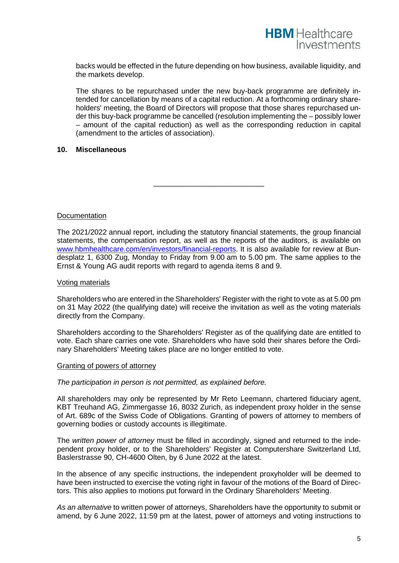backs would be effected in the future depending on how business, available liquidity, and the markets develop.

The shares to be repurchased under the new buy-back programme are definitely intended for cancellation by means of a capital reduction. At a forthcoming ordinary shareholders' meeting, the Board of Directors will propose that those shares repurchased under this buy-back programme be cancelled (resolution implementing the – possibly lower – amount of the capital reduction) as well as the corresponding reduction in capital (amendment to the articles of association).

# **10. Miscellaneous**

\_\_\_\_\_\_\_\_\_\_\_\_\_\_\_\_\_\_\_\_\_\_\_\_\_\_\_

# **Documentation**

The 2021/2022 annual report, including the statutory financial statements, the group financial statements, the compensation report, as well as the reports of the auditors, is available on [www.hbmhealthcare.com/en/investors/financial-reports.](http://www.hbmhealthcare.com/en/investors/financial-reports) It is also available for review at Bundesplatz 1, 6300 Zug, Monday to Friday from 9.00 am to 5.00 pm. The same applies to the Ernst & Young AG audit reports with regard to agenda items 8 and 9.

### Voting materials

Shareholders who are entered in the Shareholders' Register with the right to vote as at 5.00 pm on 31 May 2022 (the qualifying date) will receive the invitation as well as the voting materials directly from the Company.

Shareholders according to the Shareholders' Register as of the qualifying date are entitled to vote. Each share carries one vote. Shareholders who have sold their shares before the Ordinary Shareholders' Meeting takes place are no longer entitled to vote.

### Granting of powers of attorney

*The participation in person is not permitted, as explained before.*

All shareholders may only be represented by Mr Reto Leemann, chartered fiduciary agent, KBT Treuhand AG, Zimmergasse 16, 8032 Zurich, as independent proxy holder in the sense of Art. 689c of the Swiss Code of Obligations. Granting of powers of attorney to members of governing bodies or custody accounts is illegitimate.

The *written power of attorney* must be filled in accordingly, signed and returned to the independent proxy holder, or to the Shareholders' Register at Computershare Switzerland Ltd, Baslerstrasse 90, CH-4600 Olten, by 6 June 2022 at the latest.

In the absence of any specific instructions, the independent proxyholder will be deemed to have been instructed to exercise the voting right in favour of the motions of the Board of Directors. This also applies to motions put forward in the Ordinary Shareholders' Meeting.

*As an alternative* to written power of attorneys, Shareholders have the opportunity to submit or amend, by 6 June 2022, 11:59 pm at the latest, power of attorneys and voting instructions to